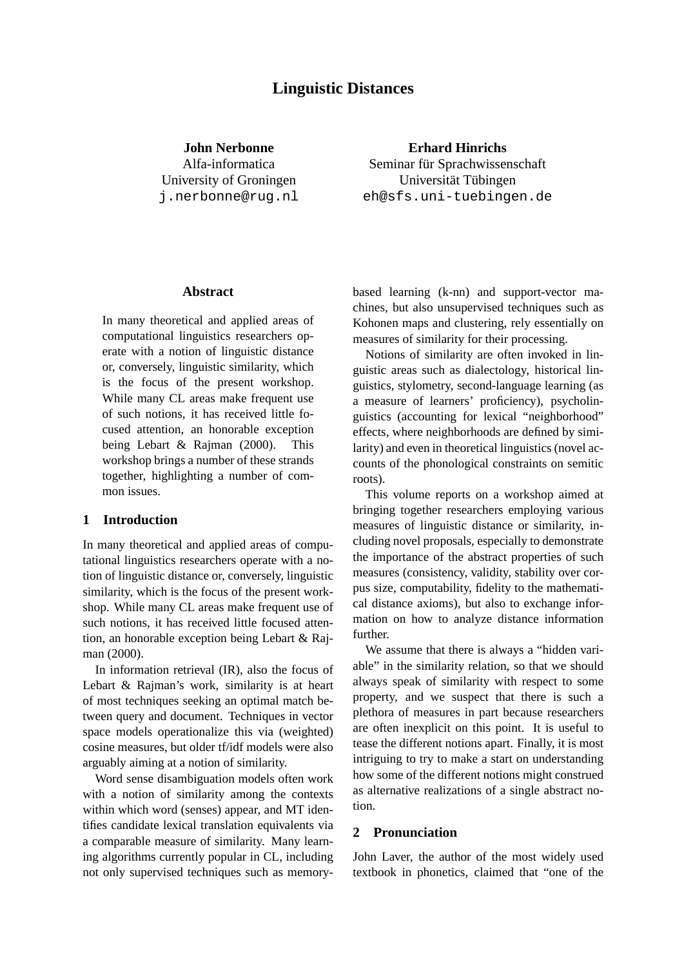# **Linguistic Distances**

**John Nerbonne** Alfa-informatica University of Groningen j.nerbonne@rug.nl

**Erhard Hinrichs** Seminar für Sprachwissenschaft Universität Tübingen eh@sfs.uni-tuebingen.de

### **Abstract**

In many theoretical and applied areas of computational linguistics researchers operate with a notion of linguistic distance or, conversely, linguistic similarity, which is the focus of the present workshop. While many CL areas make frequent use of such notions, it has received little focused attention, an honorable exception being Lebart & Rajman (2000). This workshop brings a number of these strands together, highlighting a number of common issues.

## **1 Introduction**

In many theoretical and applied areas of computational linguistics researchers operate with a notion of linguistic distance or, conversely, linguistic similarity, which is the focus of the present workshop. While many CL areas make frequent use of such notions, it has received little focused attention, an honorable exception being Lebart & Rajman (2000).

In information retrieval (IR), also the focus of Lebart & Rajman's work, similarity is at heart of most techniques seeking an optimal match between query and document. Techniques in vector space models operationalize this via (weighted) cosine measures, but older tf/idf models were also arguably aiming at a notion of similarity.

Word sense disambiguation models often work with a notion of similarity among the contexts within which word (senses) appear, and MT identifies candidate lexical translation equivalents via a comparable measure of similarity. Many learning algorithms currently popular in CL, including not only supervised techniques such as memorybased learning (k-nn) and support-vector machines, but also unsupervised techniques such as Kohonen maps and clustering, rely essentially on measures of similarity for their processing.

Notions of similarity are often invoked in linguistic areas such as dialectology, historical linguistics, stylometry, second-language learning (as a measure of learners' proficiency), psycholinguistics (accounting for lexical "neighborhood" effects, where neighborhoods are defined by similarity) and even in theoretical linguistics (novel accounts of the phonological constraints on semitic roots).

This volume reports on a workshop aimed at bringing together researchers employing various measures of linguistic distance or similarity, including novel proposals, especially to demonstrate the importance of the abstract properties of such measures (consistency, validity, stability over corpus size, computability, fidelity to the mathematical distance axioms), but also to exchange information on how to analyze distance information further.

We assume that there is always a "hidden variable" in the similarity relation, so that we should always speak of similarity with respect to some property, and we suspect that there is such a plethora of measures in part because researchers are often inexplicit on this point. It is useful to tease the different notions apart. Finally, it is most intriguing to try to make a start on understanding how some of the different notions might construed as alternative realizations of a single abstract notion.

## **2 Pronunciation**

John Laver, the author of the most widely used textbook in phonetics, claimed that "one of the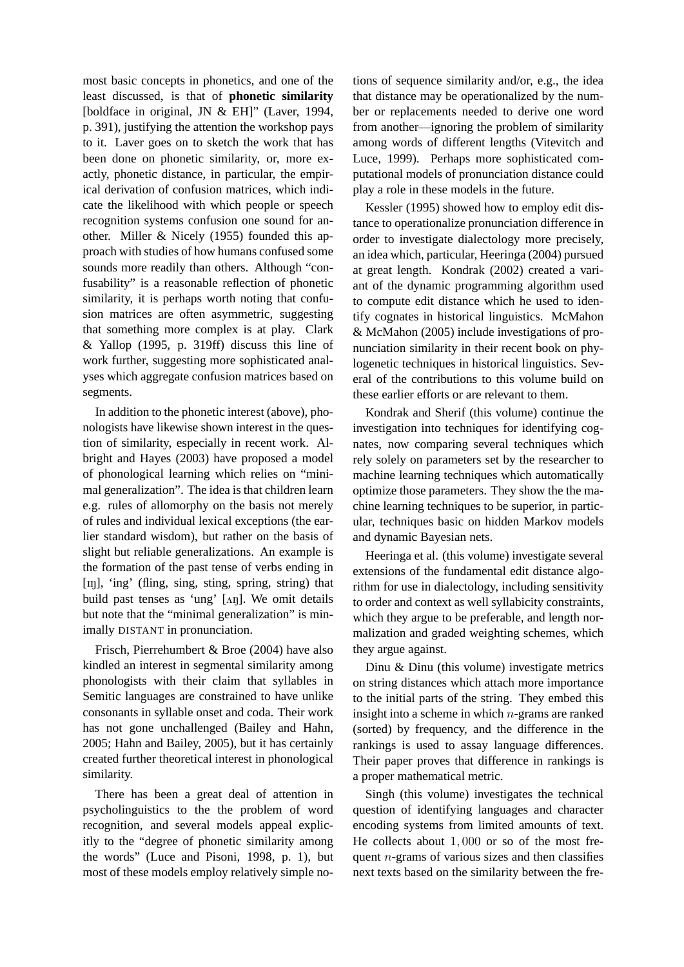most basic concepts in phonetics, and one of the least discussed, is that of **phonetic similarity** [boldface in original, JN & EH]" (Laver, 1994, p. 391), justifying the attention the workshop pays to it. Laver goes on to sketch the work that has been done on phonetic similarity, or, more exactly, phonetic distance, in particular, the empirical derivation of confusion matrices, which indicate the likelihood with which people or speech recognition systems confusion one sound for another. Miller & Nicely (1955) founded this approach with studies of how humans confused some sounds more readily than others. Although "confusability" is a reasonable reflection of phonetic similarity, it is perhaps worth noting that confusion matrices are often asymmetric, suggesting that something more complex is at play. Clark & Yallop (1995, p. 319ff) discuss this line of work further, suggesting more sophisticated analyses which aggregate confusion matrices based on segments.

In addition to the phonetic interest (above), phonologists have likewise shown interest in the question of similarity, especially in recent work. Albright and Hayes (2003) have proposed a model of phonological learning which relies on "minimal generalization". The idea is that children learn e.g. rules of allomorphy on the basis not merely of rules and individual lexical exceptions (the earlier standard wisdom), but rather on the basis of slight but reliable generalizations. An example is the formation of the past tense of verbs ending in [IN], 'ing' (fling, sing, sting, spring, string) that build past tenses as 'ung'  $[\text{A}n]$ . We omit details but note that the "minimal generalization" is minimally DISTANT in pronunciation.

Frisch, Pierrehumbert & Broe (2004) have also kindled an interest in segmental similarity among phonologists with their claim that syllables in Semitic languages are constrained to have unlike consonants in syllable onset and coda. Their work has not gone unchallenged (Bailey and Hahn, 2005; Hahn and Bailey, 2005), but it has certainly created further theoretical interest in phonological similarity.

There has been a great deal of attention in psycholinguistics to the the problem of word recognition, and several models appeal explicitly to the "degree of phonetic similarity among the words" (Luce and Pisoni, 1998, p. 1), but most of these models employ relatively simple no-

tions of sequence similarity and/or, e.g., the idea that distance may be operationalized by the number or replacements needed to derive one word from another—ignoring the problem of similarity among words of different lengths (Vitevitch and Luce, 1999). Perhaps more sophisticated computational models of pronunciation distance could play a role in these models in the future.

Kessler (1995) showed how to employ edit distance to operationalize pronunciation difference in order to investigate dialectology more precisely, an idea which, particular, Heeringa (2004) pursued at great length. Kondrak (2002) created a variant of the dynamic programming algorithm used to compute edit distance which he used to identify cognates in historical linguistics. McMahon & McMahon (2005) include investigations of pronunciation similarity in their recent book on phylogenetic techniques in historical linguistics. Several of the contributions to this volume build on these earlier efforts or are relevant to them.

Kondrak and Sherif (this volume) continue the investigation into techniques for identifying cognates, now comparing several techniques which rely solely on parameters set by the researcher to machine learning techniques which automatically optimize those parameters. They show the the machine learning techniques to be superior, in particular, techniques basic on hidden Markov models and dynamic Bayesian nets.

Heeringa et al. (this volume) investigate several extensions of the fundamental edit distance algorithm for use in dialectology, including sensitivity to order and context as well syllabicity constraints, which they argue to be preferable, and length normalization and graded weighting schemes, which they argue against.

Dinu & Dinu (this volume) investigate metrics on string distances which attach more importance to the initial parts of the string. They embed this insight into a scheme in which  $n$ -grams are ranked (sorted) by frequency, and the difference in the rankings is used to assay language differences. Their paper proves that difference in rankings is a proper mathematical metric.

Singh (this volume) investigates the technical question of identifying languages and character encoding systems from limited amounts of text. He collects about 1, 000 or so of the most frequent  $n$ -grams of various sizes and then classifies next texts based on the similarity between the fre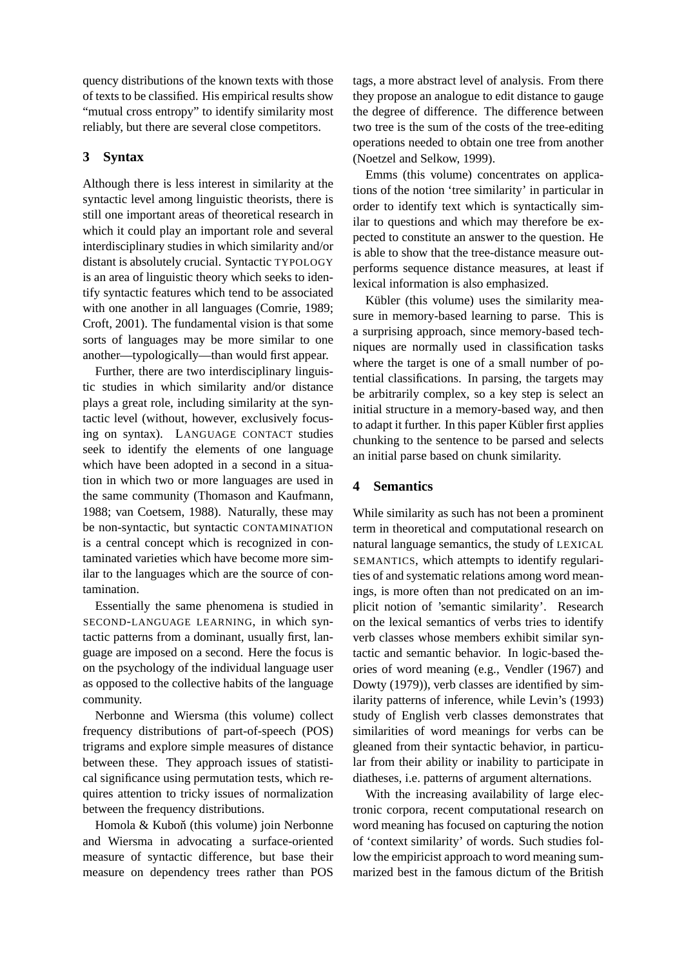quency distributions of the known texts with those of texts to be classified. His empirical results show "mutual cross entropy" to identify similarity most reliably, but there are several close competitors.

## **3 Syntax**

Although there is less interest in similarity at the syntactic level among linguistic theorists, there is still one important areas of theoretical research in which it could play an important role and several interdisciplinary studies in which similarity and/or distant is absolutely crucial. Syntactic TYPOLOGY is an area of linguistic theory which seeks to identify syntactic features which tend to be associated with one another in all languages (Comrie, 1989; Croft, 2001). The fundamental vision is that some sorts of languages may be more similar to one another—typologically—than would first appear.

Further, there are two interdisciplinary linguistic studies in which similarity and/or distance plays a great role, including similarity at the syntactic level (without, however, exclusively focusing on syntax). LANGUAGE CONTACT studies seek to identify the elements of one language which have been adopted in a second in a situation in which two or more languages are used in the same community (Thomason and Kaufmann, 1988; van Coetsem, 1988). Naturally, these may be non-syntactic, but syntactic CONTAMINATION is a central concept which is recognized in contaminated varieties which have become more similar to the languages which are the source of contamination.

Essentially the same phenomena is studied in SECOND-LANGUAGE LEARNING, in which syntactic patterns from a dominant, usually first, language are imposed on a second. Here the focus is on the psychology of the individual language user as opposed to the collective habits of the language community.

Nerbonne and Wiersma (this volume) collect frequency distributions of part-of-speech (POS) trigrams and explore simple measures of distance between these. They approach issues of statistical significance using permutation tests, which requires attention to tricky issues of normalization between the frequency distributions.

Homola & Kuboň (this volume) join Nerbonne and Wiersma in advocating a surface-oriented measure of syntactic difference, but base their measure on dependency trees rather than POS tags, a more abstract level of analysis. From there they propose an analogue to edit distance to gauge the degree of difference. The difference between two tree is the sum of the costs of the tree-editing operations needed to obtain one tree from another (Noetzel and Selkow, 1999).

Emms (this volume) concentrates on applications of the notion 'tree similarity' in particular in order to identify text which is syntactically similar to questions and which may therefore be expected to constitute an answer to the question. He is able to show that the tree-distance measure outperforms sequence distance measures, at least if lexical information is also emphasized.

Kübler (this volume) uses the similarity measure in memory-based learning to parse. This is a surprising approach, since memory-based techniques are normally used in classification tasks where the target is one of a small number of potential classifications. In parsing, the targets may be arbitrarily complex, so a key step is select an initial structure in a memory-based way, and then to adapt it further. In this paper Kübler first applies chunking to the sentence to be parsed and selects an initial parse based on chunk similarity.

## **4 Semantics**

While similarity as such has not been a prominent term in theoretical and computational research on natural language semantics, the study of LEXICAL SEMANTICS, which attempts to identify regularities of and systematic relations among word meanings, is more often than not predicated on an implicit notion of 'semantic similarity'. Research on the lexical semantics of verbs tries to identify verb classes whose members exhibit similar syntactic and semantic behavior. In logic-based theories of word meaning (e.g., Vendler (1967) and Dowty (1979)), verb classes are identified by similarity patterns of inference, while Levin's (1993) study of English verb classes demonstrates that similarities of word meanings for verbs can be gleaned from their syntactic behavior, in particular from their ability or inability to participate in diatheses, i.e. patterns of argument alternations.

With the increasing availability of large electronic corpora, recent computational research on word meaning has focused on capturing the notion of 'context similarity' of words. Such studies follow the empiricist approach to word meaning summarized best in the famous dictum of the British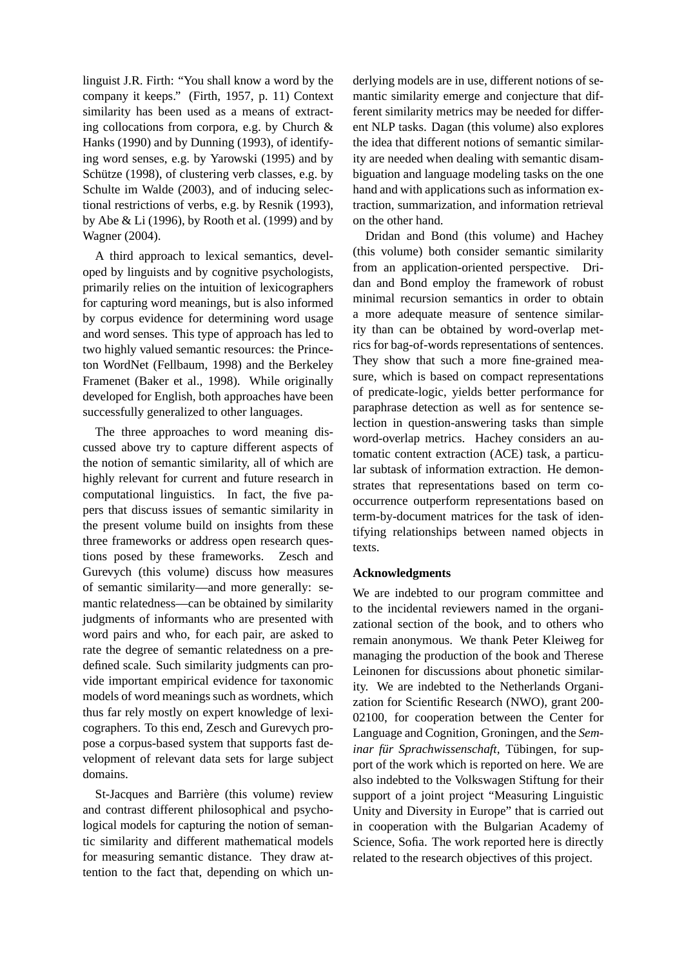linguist J.R. Firth: "You shall know a word by the company it keeps." (Firth, 1957, p. 11) Context similarity has been used as a means of extracting collocations from corpora, e.g. by Church & Hanks (1990) and by Dunning (1993), of identifying word senses, e.g. by Yarowski (1995) and by Schütze (1998), of clustering verb classes, e.g. by Schulte im Walde (2003), and of inducing selectional restrictions of verbs, e.g. by Resnik (1993), by Abe & Li (1996), by Rooth et al. (1999) and by Wagner (2004).

A third approach to lexical semantics, developed by linguists and by cognitive psychologists, primarily relies on the intuition of lexicographers for capturing word meanings, but is also informed by corpus evidence for determining word usage and word senses. This type of approach has led to two highly valued semantic resources: the Princeton WordNet (Fellbaum, 1998) and the Berkeley Framenet (Baker et al., 1998). While originally developed for English, both approaches have been successfully generalized to other languages.

The three approaches to word meaning discussed above try to capture different aspects of the notion of semantic similarity, all of which are highly relevant for current and future research in computational linguistics. In fact, the five papers that discuss issues of semantic similarity in the present volume build on insights from these three frameworks or address open research questions posed by these frameworks. Zesch and Gurevych (this volume) discuss how measures of semantic similarity—and more generally: semantic relatedness—can be obtained by similarity judgments of informants who are presented with word pairs and who, for each pair, are asked to rate the degree of semantic relatedness on a predefined scale. Such similarity judgments can provide important empirical evidence for taxonomic models of word meanings such as wordnets, which thus far rely mostly on expert knowledge of lexicographers. To this end, Zesch and Gurevych propose a corpus-based system that supports fast development of relevant data sets for large subject domains.

St-Jacques and Barrière (this volume) review and contrast different philosophical and psychological models for capturing the notion of semantic similarity and different mathematical models for measuring semantic distance. They draw attention to the fact that, depending on which un-

derlying models are in use, different notions of semantic similarity emerge and conjecture that different similarity metrics may be needed for different NLP tasks. Dagan (this volume) also explores the idea that different notions of semantic similarity are needed when dealing with semantic disambiguation and language modeling tasks on the one hand and with applications such as information extraction, summarization, and information retrieval on the other hand.

Dridan and Bond (this volume) and Hachey (this volume) both consider semantic similarity from an application-oriented perspective. Dridan and Bond employ the framework of robust minimal recursion semantics in order to obtain a more adequate measure of sentence similarity than can be obtained by word-overlap metrics for bag-of-words representations of sentences. They show that such a more fine-grained measure, which is based on compact representations of predicate-logic, yields better performance for paraphrase detection as well as for sentence selection in question-answering tasks than simple word-overlap metrics. Hachey considers an automatic content extraction (ACE) task, a particular subtask of information extraction. He demonstrates that representations based on term cooccurrence outperform representations based on term-by-document matrices for the task of identifying relationships between named objects in texts.

### **Acknowledgments**

We are indebted to our program committee and to the incidental reviewers named in the organizational section of the book, and to others who remain anonymous. We thank Peter Kleiweg for managing the production of the book and Therese Leinonen for discussions about phonetic similarity. We are indebted to the Netherlands Organization for Scientific Research (NWO), grant 200- 02100, for cooperation between the Center for Language and Cognition, Groningen, and the *Seminar für Sprachwissenschaft*, Tübingen, for support of the work which is reported on here. We are also indebted to the Volkswagen Stiftung for their support of a joint project "Measuring Linguistic Unity and Diversity in Europe" that is carried out in cooperation with the Bulgarian Academy of Science, Sofia. The work reported here is directly related to the research objectives of this project.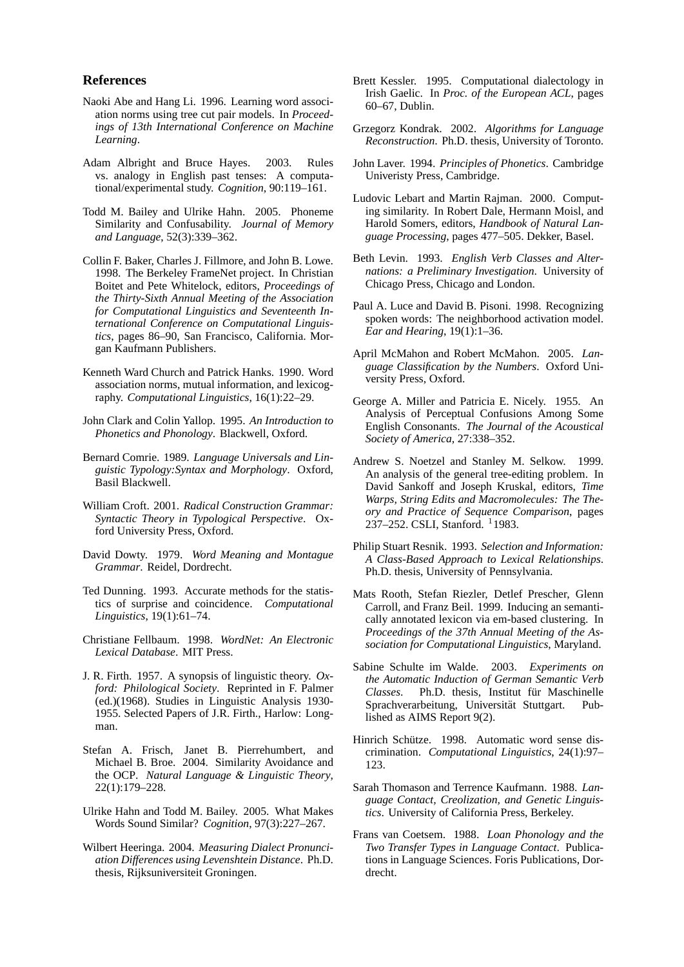#### **References**

- Naoki Abe and Hang Li. 1996. Learning word association norms using tree cut pair models. In *Proceedings of 13th International Conference on Machine Learning*.
- Adam Albright and Bruce Hayes. 2003. Rules vs. analogy in English past tenses: A computational/experimental study. *Cognition*, 90:119–161.
- Todd M. Bailey and Ulrike Hahn. 2005. Phoneme Similarity and Confusability. *Journal of Memory and Language*, 52(3):339–362.
- Collin F. Baker, Charles J. Fillmore, and John B. Lowe. 1998. The Berkeley FrameNet project. In Christian Boitet and Pete Whitelock, editors, *Proceedings of the Thirty-Sixth Annual Meeting of the Association for Computational Linguistics and Seventeenth International Conference on Computational Linguistics*, pages 86–90, San Francisco, California. Morgan Kaufmann Publishers.
- Kenneth Ward Church and Patrick Hanks. 1990. Word association norms, mutual information, and lexicography. *Computational Linguistics*, 16(1):22–29.
- John Clark and Colin Yallop. 1995. *An Introduction to Phonetics and Phonology*. Blackwell, Oxford.
- Bernard Comrie. 1989. *Language Universals and Linguistic Typology:Syntax and Morphology*. Oxford, Basil Blackwell.
- William Croft. 2001. *Radical Construction Grammar: Syntactic Theory in Typological Perspective*. Oxford University Press, Oxford.
- David Dowty. 1979. *Word Meaning and Montague Grammar*. Reidel, Dordrecht.
- Ted Dunning. 1993. Accurate methods for the statistics of surprise and coincidence. *Computational Linguistics*, 19(1):61–74.
- Christiane Fellbaum. 1998. *WordNet: An Electronic Lexical Database*. MIT Press.
- J. R. Firth. 1957. A synopsis of linguistic theory. *Oxford: Philological Society*. Reprinted in F. Palmer (ed.)(1968). Studies in Linguistic Analysis 1930- 1955. Selected Papers of J.R. Firth., Harlow: Longman.
- Stefan A. Frisch, Janet B. Pierrehumbert, and Michael B. Broe. 2004. Similarity Avoidance and the OCP. *Natural Language & Linguistic Theory*, 22(1):179–228.
- Ulrike Hahn and Todd M. Bailey. 2005. What Makes Words Sound Similar? *Cognition*, 97(3):227–267.
- Wilbert Heeringa. 2004. *Measuring Dialect Pronunciation Differences using Levenshtein Distance*. Ph.D. thesis, Rijksuniversiteit Groningen.
- Brett Kessler. 1995. Computational dialectology in Irish Gaelic. In *Proc. of the European ACL*, pages 60–67, Dublin.
- Grzegorz Kondrak. 2002. *Algorithms for Language Reconstruction*. Ph.D. thesis, University of Toronto.
- John Laver. 1994. *Principles of Phonetics*. Cambridge Univeristy Press, Cambridge.
- Ludovic Lebart and Martin Rajman. 2000. Computing similarity. In Robert Dale, Hermann Moisl, and Harold Somers, editors, *Handbook of Natural Language Processing*, pages 477–505. Dekker, Basel.
- Beth Levin. 1993. *English Verb Classes and Alternations: a Preliminary Investigation*. University of Chicago Press, Chicago and London.
- Paul A. Luce and David B. Pisoni. 1998. Recognizing spoken words: The neighborhood activation model. *Ear and Hearing*, 19(1):1–36.
- April McMahon and Robert McMahon. 2005. *Language Classification by the Numbers*. Oxford University Press, Oxford.
- George A. Miller and Patricia E. Nicely. 1955. An Analysis of Perceptual Confusions Among Some English Consonants. *The Journal of the Acoustical Society of America*, 27:338–352.
- Andrew S. Noetzel and Stanley M. Selkow. 1999. An analysis of the general tree-editing problem. In David Sankoff and Joseph Kruskal, editors, *Time Warps, String Edits and Macromolecules: The Theory and Practice of Sequence Comparison*, pages 237–252. CSLI, Stanford. <sup>1</sup>1983.
- Philip Stuart Resnik. 1993. *Selection and Information: A Class-Based Approach to Lexical Relationships*. Ph.D. thesis, University of Pennsylvania.
- Mats Rooth, Stefan Riezler, Detlef Prescher, Glenn Carroll, and Franz Beil. 1999. Inducing an semantically annotated lexicon via em-based clustering. In *Proceedings of the 37th Annual Meeting of the Association for Computational Linguistics*, Maryland.
- Sabine Schulte im Walde. 2003. *Experiments on the Automatic Induction of German Semantic Verb Classes.* Ph.D. thesis, Institut für Maschinelle Sprachverarbeitung, Universität Stuttgart. Published as AIMS Report 9(2).
- Hinrich Schütze. 1998. Automatic word sense discrimination. *Computational Linguistics*, 24(1):97– 123.
- Sarah Thomason and Terrence Kaufmann. 1988. *Language Contact, Creolization, and Genetic Linguistics*. University of California Press, Berkeley.
- Frans van Coetsem. 1988. *Loan Phonology and the Two Transfer Types in Language Contact*. Publications in Language Sciences. Foris Publications, Dordrecht.